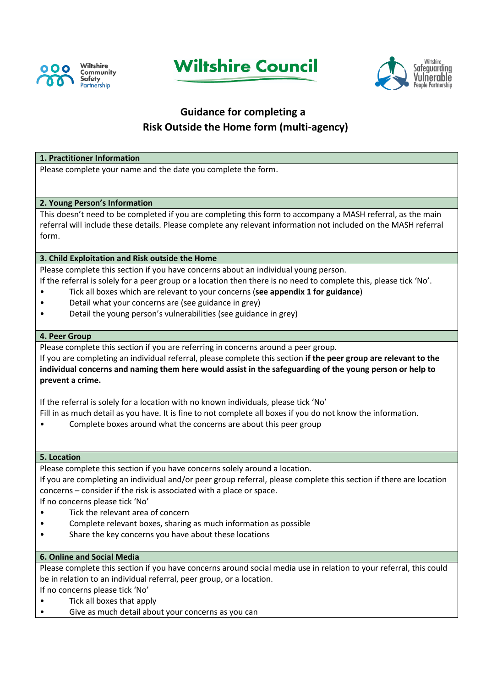





# **Guidance for completing a Risk Outside the Home form (multi-agency)**

## **1. Practitioner Information**

Please complete your name and the date you complete the form.

## **2. Young Person's Information**

This doesn't need to be completed if you are completing this form to accompany a MASH referral, as the main referral will include these details. Please complete any relevant information not included on the MASH referral form.

## **3. Child Exploitation and Risk outside the Home**

Please complete this section if you have concerns about an individual young person.

- If the referral is solely for a peer group or a location then there is no need to complete this, please tick 'No'.
- Tick all boxes which are relevant to your concerns (**see appendix 1 for guidance**)
- Detail what your concerns are (see guidance in grey)
- Detail the young person's vulnerabilities (see guidance in grey)

#### **4. Peer Group**

Please complete this section if you are referring in concerns around a peer group.

If you are completing an individual referral, please complete this section **if the peer group are relevant to the individual concerns and naming them here would assist in the safeguarding of the young person or help to prevent a crime.**

If the referral is solely for a location with no known individuals, please tick 'No'

- Fill in as much detail as you have. It is fine to not complete all boxes if you do not know the information.
- Complete boxes around what the concerns are about this peer group

#### **5. Location**

Please complete this section if you have concerns solely around a location.

If you are completing an individual and/or peer group referral, please complete this section if there are location concerns – consider if the risk is associated with a place or space.

If no concerns please tick 'No'

- Tick the relevant area of concern
- Complete relevant boxes, sharing as much information as possible
- Share the key concerns you have about these locations

#### **6. Online and Social Media**

Please complete this section if you have concerns around social media use in relation to your referral, this could be in relation to an individual referral, peer group, or a location. If no concerns please tick 'No'

- Tick all boxes that apply
- Give as much detail about your concerns as you can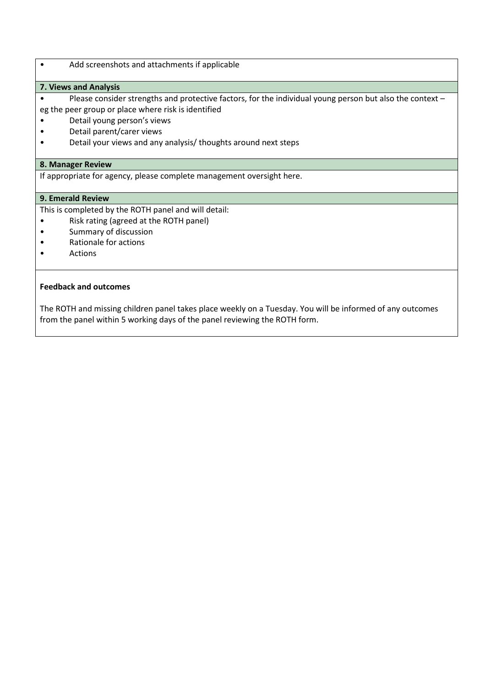#### • Add screenshots and attachments if applicable

#### **7. Views and Analysis**

- Please consider strengths and protective factors, for the individual young person but also the context eg the peer group or place where risk is identified
- Detail young person's views
- Detail parent/carer views
- 
- Detail your views and any analysis/ thoughts around next steps

#### **8. Manager Review**

If appropriate for agency, please complete management oversight here.

#### **9. Emerald Review**

This is completed by the ROTH panel and will detail:

- Risk rating (agreed at the ROTH panel)
- Summary of discussion
- Rationale for actions
- Actions

#### **Feedback and outcomes**

The ROTH and missing children panel takes place weekly on a Tuesday. You will be informed of any outcomes from the panel within 5 working days of the panel reviewing the ROTH form.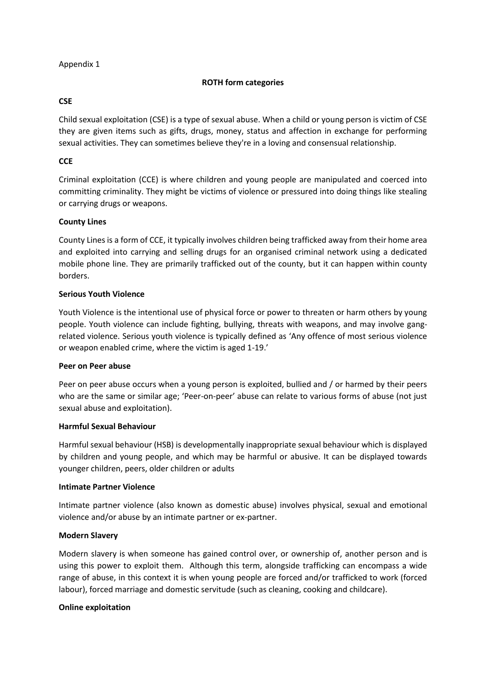#### Appendix 1

# **ROTH form categories**

#### **CSE**

Child sexual exploitation (CSE) is a type of sexual abuse. When a child or young person is victim of CSE they are given items such as gifts, drugs, money, status and affection in exchange for performing sexual activities. They can sometimes believe they're in a loving and consensual relationship.

# **CCE**

Criminal exploitation (CCE) is where children and young people are manipulated and coerced into committing criminality. They might be victims of violence or pressured into doing things like stealing or carrying drugs or weapons.

## **County Lines**

County Lines is a form of CCE, it typically involves children being trafficked away from their home area and exploited into carrying and selling drugs for an organised criminal network using a dedicated mobile phone line. They are primarily trafficked out of the county, but it can happen within county borders.

## **Serious Youth Violence**

Youth Violence is the intentional use of physical force or power to threaten or harm others by young people. Youth violence can include fighting, bullying, threats with weapons, and may involve gangrelated violence. Serious youth violence is typically defined as 'Any offence of most serious violence or weapon enabled crime, where the victim is aged 1-19.'

#### **Peer on Peer abuse**

Peer on peer abuse occurs when a young person is exploited, bullied and / or harmed by their peers who are the same or similar age; 'Peer-on-peer' abuse can relate to various forms of abuse (not just sexual abuse and exploitation).

#### **Harmful Sexual Behaviour**

Harmful sexual behaviour (HSB) is developmentally inappropriate sexual behaviour which is displayed by children and young people, and which may be harmful or abusive. It can be displayed towards younger children, peers, older children or adults

#### **Intimate Partner Violence**

Intimate partner violence (also known as domestic abuse) involves physical, sexual and emotional violence and/or abuse by an intimate partner or ex-partner.

# **Modern Slavery**

Modern slavery is when someone has gained control over, or ownership of, another person and is using this power to exploit them. Although this term, alongside trafficking can encompass a wide range of abuse, in this context it is when young people are forced and/or trafficked to work (forced labour), forced marriage and domestic servitude (such as cleaning, cooking and childcare).

# **Online exploitation**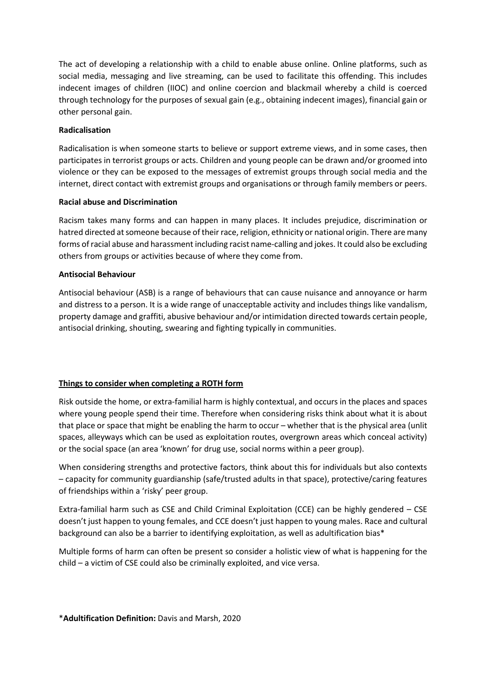The act of developing a relationship with a child to enable abuse online. Online platforms, such as social media, messaging and live streaming, can be used to facilitate this offending. This includes indecent images of children (IIOC) and online coercion and blackmail whereby a child is coerced through technology for the purposes of sexual gain (e.g., obtaining indecent images), financial gain or other personal gain.

## **Radicalisation**

Radicalisation is when someone starts to believe or support extreme views, and in some cases, then participates in terrorist groups or acts. Children and young people can be drawn and/or groomed into violence or they can be exposed to the messages of extremist groups through social media and the internet, direct contact with extremist groups and organisations or through family members or peers.

## **Racial abuse and Discrimination**

Racism takes many forms and can happen in many places. It includes prejudice, discrimination or hatred directed at someone because of their race, religion, ethnicity or national origin. There are many forms of racial abuse and harassment including racist name-calling and jokes. It could also be excluding others from groups or activities because of where they come from.

## **Antisocial Behaviour**

Antisocial behaviour (ASB) is a range of behaviours that can cause nuisance and annoyance or harm and distress to a person. It is a wide range of unacceptable activity and includes things like vandalism, property damage and graffiti, abusive behaviour and/or intimidation directed towards certain people, antisocial drinking, shouting, swearing and fighting typically in communities.

# **Things to consider when completing a ROTH form**

Risk outside the home, or extra-familial harm is highly contextual, and occurs in the places and spaces where young people spend their time. Therefore when considering risks think about what it is about that place or space that might be enabling the harm to occur – whether that is the physical area (unlit spaces, alleyways which can be used as exploitation routes, overgrown areas which conceal activity) or the social space (an area 'known' for drug use, social norms within a peer group).

When considering strengths and protective factors, think about this for individuals but also contexts – capacity for community guardianship (safe/trusted adults in that space), protective/caring features of friendships within a 'risky' peer group.

Extra-familial harm such as CSE and Child Criminal Exploitation (CCE) can be highly gendered – CSE doesn't just happen to young females, and CCE doesn't just happen to young males. Race and cultural background can also be a barrier to identifying exploitation, as well as adultification bias\*

Multiple forms of harm can often be present so consider a holistic view of what is happening for the child – a victim of CSE could also be criminally exploited, and vice versa.